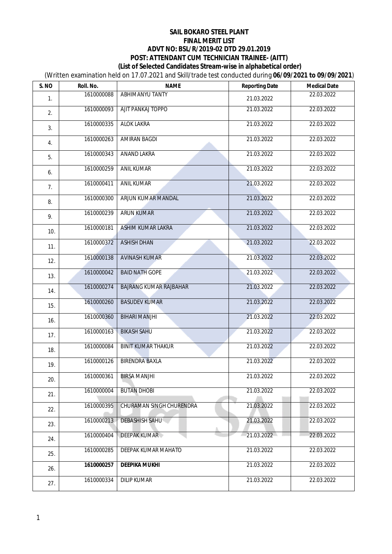(Written examination held on 17.07.2021 and Skill/trade test conducted during **06/09/2021 to 09/09/2021**)

| S. NO | Roll. No.  | <b>NAME</b>                   | <b>Reporting Date</b> | <b>Medical Date</b> |
|-------|------------|-------------------------------|-----------------------|---------------------|
| 1.    | 1610000088 | <b>ABHIMANYU TANTY</b>        | 21.03.2022            | 22.03.2022          |
| 2.    | 1610000093 | <b>AJIT PANKAJ TOPPO</b>      | 21.03.2022            | 22.03.2022          |
| 3.    | 1610000335 | <b>ALOK LAKRA</b>             | 21.03.2022            | 22.03.2022          |
| 4.    | 1610000263 | <b>AMIRAN BAGDI</b>           | 21.03.2022            | 22.03.2022          |
| 5.    | 1610000343 | <b>ANAND LAKRA</b>            | 21.03.2022            | 22.03.2022          |
| 6.    | 1610000259 | <b>ANIL KUMAR</b>             | 21.03.2022            | 22.03.2022          |
| 7.    | 1610000411 | <b>ANIL KUMAR</b>             | 21.03.2022            | 22.03.2022          |
| 8.    | 1610000300 | ARJUN KUMAR MANDAL            | 21.03.2022            | 22.03.2022          |
| 9.    | 1610000239 | <b>ARUN KUMAR</b>             | 21.03.2022            | 22.03.2022          |
| 10.   | 1610000181 | <b>ASHIM KUMAR LAKRA</b>      | 21.03.2022            | 22.03.2022          |
| 11.   | 1610000372 | <b>ASHISH DHAN</b>            | 21.03.2022            | 22.03.2022          |
| 12.   | 1610000138 | <b>AVINASH KUMAR</b>          | 21.03.2022            | 22.03.2022          |
| 13.   | 1610000042 | <b>BAID NATH GOPE</b>         | 21.03.2022            | 22.03.2022          |
| 14.   | 1610000274 | <b>BAJRANG KUMAR RAJBAHAR</b> | 21.03.2022            | 22.03.2022          |
| 15.   | 1610000260 | <b>BASUDEV KUMAR</b>          | 21.03.2022            | 22.03.2022          |
| 16.   | 1610000360 | <b>BIHARI MANJHI</b>          | 21.03.2022            | 22.03.2022          |
| 17.   | 1610000163 | <b>BIKASH SAHU</b>            | 21.03.2022            | 22.03.2022          |
| 18.   | 1610000084 | <b>BINIT KUMAR THAKUR</b>     | 21.03.2022            | 22.03.2022          |
| 19.   | 1610000126 | <b>BIRENDRA BAXLA</b>         | 21.03.2022            | 22.03.2022          |
| 20.   |            | 1610000361 BIRSA MANJHI       | 21.03.2022            | 22.03.2022          |
| 21.   | 1610000004 | <b>BUTAN DHOBI</b>            | 21.03.2022            | 22.03.2022          |
| 22.   | 1610000395 | CHURAMAN SINGH CHURENDRA      | 21.03.2022            | 22.03.2022          |
| 23.   | 1610000213 | <b>DEBASHISH SAHU</b>         | 21.03.2022            | 22.03.2022          |
| 24.   | 1610000404 | <b>DEEPAK KUMAR</b>           | 21.03.2022            | 22.03.2022          |
| 25.   | 1610000285 | DEEPAK KUMAR MAHATO           | 21.03.2022            | 22.03.2022          |
| 26.   | 1610000257 | <b>DEEPIKA MUKHI</b>          | 21.03.2022            | 22.03.2022          |
| 27.   | 1610000334 | <b>DILIP KUMAR</b>            | 21.03.2022            | 22.03.2022          |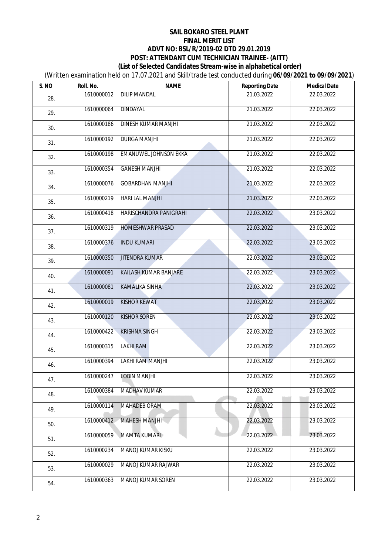(Written examination held on 17.07.2021 and Skill/trade test conducted during **06/09/2021 to 09/09/2021**)

| S. NO | Roll. No.  | <b>NAME</b>                  | <b>Reporting Date</b> | <b>Medical Date</b> |
|-------|------------|------------------------------|-----------------------|---------------------|
| 28.   | 1610000012 | <b>DILIP MANDAL</b>          | 21.03.2022            | 22.03.2022          |
| 29.   | 1610000064 | <b>DINDAYAL</b>              | 21.03.2022            | 22.03.2022          |
| 30.   | 1610000186 | DINESH KUMAR MANJHI          | 21.03.2022            | 22.03.2022          |
| 31.   | 1610000192 | <b>DURGA MANJHI</b>          | 21.03.2022            | 22.03.2022          |
| 32.   | 1610000198 | <b>EMANUWEL JOHNSON EKKA</b> | 21.03.2022            | 22.03.2022          |
| 33.   | 1610000354 | <b>GANESH MANJHI</b>         | 21.03.2022            | 22.03.2022          |
| 34.   | 1610000076 | <b>GOBARDHAN MANJHI</b>      | 21.03.2022            | 22.03.2022          |
| 35.   | 1610000219 | <b>HARI LAL MANJHI</b>       | 21.03.2022            | 22.03.2022          |
| 36.   | 1610000418 | HARISCHANDRA PANIGRAHI       | 22.03.2022            | 23.03.2022          |
| 37.   | 1610000319 | <b>HOMESHWAR PRASAD</b>      | 22.03.2022            | 23.03.2022          |
| 38.   | 1610000376 | <b>INDU KUMARI</b>           | 22.03.2022            | 23.03.2022          |
| 39.   | 1610000350 | <b>JITENDRA KUMAR</b>        | 22.03.2022            | 23.03.2022          |
| 40.   | 1610000091 | KAILASH KUMAR BANJARE        | 22.03.2022            | 23.03.2022          |
| 41.   | 1610000081 | <b>KAMALIKA SINHA</b>        | 22.03.2022            | 23.03.2022          |
| 42.   | 1610000019 | <b>KISHOR KEWAT</b>          | 22.03.2022            | 23.03.2022          |
| 43.   | 1610000120 | <b>KISHOR SOREN</b>          | 22.03.2022            | 23.03.2022          |
| 44.   | 1610000422 | <b>KRISHNA SINGH</b>         | 22.03.2022            | 23.03.2022          |
| 45.   | 1610000315 | <b>LAKHI RAM</b>             | 22.03.2022            | 23.03.2022          |
| 46.   | 1610000394 | <b>LAKHI RAM MANJHI</b>      | 22.03.2022            | 23.03.2022          |
| 47.   |            | 1610000247 LOBIN MANJHI      | 22.03.2022            | 23.03.2022          |
| 48.   | 1610000384 | <b>MADHAV KUMAR</b>          | 22.03.2022            | 23.03.2022          |
| 49.   | 1610000114 | <b>MAHADEB ORAM</b>          | 22.03.2022            | 23.03.2022          |
| 50.   | 1610000412 | <b>MAHESH MANJHI</b>         | 22.03.2022            | 23.03.2022          |
| 51.   | 1610000059 | <b>MAMTA KUMARI</b>          | 22.03.2022            | 23.03.2022          |
| 52.   | 1610000234 | MANOJ KUMAR KISKU            | 22.03.2022            | 23.03.2022          |
| 53.   | 1610000029 | MANOJ KUMAR RAJWAR           | 22.03.2022            | 23.03.2022          |
| 54.   | 1610000363 | MANOJ KUMAR SOREN            | 22.03.2022            | 23.03.2022          |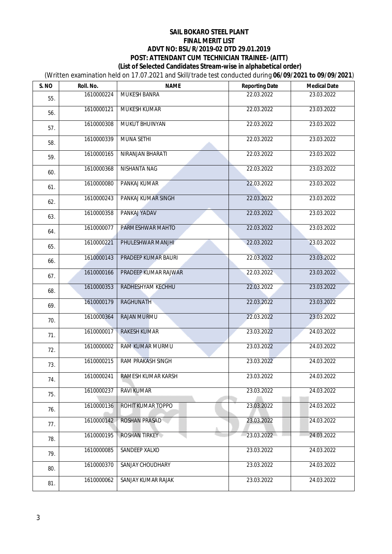(Written examination held on 17.07.2021 and Skill/trade test conducted during **06/09/2021 to 09/09/2021**)

| S. NO | Roll. No.  | <b>NAME</b>                   | <b>Reporting Date</b> | <b>Medical Date</b> |
|-------|------------|-------------------------------|-----------------------|---------------------|
| 55.   | 1610000224 | <b>MUKESH BANRA</b>           | 22.03.2022            | 23.03.2022          |
| 56.   | 1610000121 | <b>MUKESH KUMAR</b>           | 22.03.2022            | 23.03.2022          |
| 57.   | 1610000308 | <b>MUKUT BHUINYAN</b>         | 22.03.2022            | 23.03.2022          |
| 58.   | 1610000339 | <b>MUNA SETHI</b>             | 22.03.2022            | 23.03.2022          |
| 59.   | 1610000165 | NIRANJAN BHARATI              | 22.03.2022            | 23.03.2022          |
| 60.   | 1610000368 | <b>NISHANTA NAG</b>           | 22.03.2022            | 23.03.2022          |
| 61.   | 1610000080 | PANKAJ KUMAR                  | 22.03.2022            | 23.03.2022          |
| 62.   | 1610000243 | PANKAJ KUMAR SINGH            | 22.03.2022            | 23.03.2022          |
| 63.   | 1610000358 | PANKAJ YADAV                  | 22.03.2022            | 23.03.2022          |
| 64.   | 1610000077 | PARMESHWAR MAHTO              | 22.03.2022            | 23.03.2022          |
| 65.   | 1610000221 | PHULESHWAR MANJHI             | 22.03.2022            | 23.03.2022          |
| 66.   | 1610000143 | PRADEEP KUMAR BAURI           | 22.03.2022            | 23.03.2022          |
| 67.   | 1610000166 | PRADEEP KUMAR RAJWAR          | 22.03.2022            | 23.03.2022          |
| 68.   | 1610000353 | RADHESHYAM KECHHU             | 22.03.2022            | 23.03.2022          |
| 69.   | 1610000179 | <b>RAGHUNATH</b>              | 22.03.2022            | 23.03.2022          |
| 70.   | 1610000364 | RAJAN MURMU                   | 22.03.2022            | 23.03.2022          |
| 71.   | 1610000017 | <b>RAKESH KUMAR</b>           | 23.03.2022            | 24.03.2022          |
| 72.   | 1610000002 | RAM KUMAR MURMU               | 23.03.2022            | 24.03.2022          |
| 73.   | 1610000215 | <b>RAM PRAKASH SINGH</b>      | 23.03.2022            | 24.03.2022          |
| 74.   |            | 1610000241 RAMESH KUMAR KARSH | 23.03.2022            | 24.03.2022          |
| 75.   | 1610000237 | <b>RAVI KUMAR</b>             | 23.03.2022            | 24.03.2022          |
| 76.   | 1610000136 | ROHIT KUMAR TOPPO             | 23.03.2022            | 24.03.2022          |
| 77.   | 1610000142 | ROSHAN PRASAD                 | 23.03.2022            | 24.03.2022          |
| 78.   | 1610000195 | <b>ROSHAN TIRKEY</b>          | 23.03.2022            | 24.03.2022          |
| 79.   | 1610000085 | SANDEEP XALXO                 | 23.03.2022            | 24.03.2022          |
| 80.   | 1610000370 | SANJAY CHOUDHARY              | 23.03.2022            | 24.03.2022          |
| 81.   | 1610000062 | SANJAY KUMAR RAJAK            | 23.03.2022            | 24.03.2022          |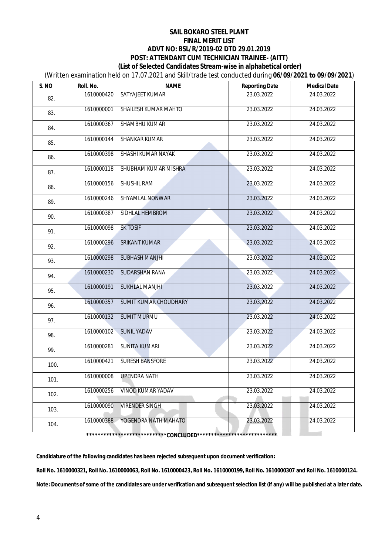(Written examination held on 17.07.2021 and Skill/trade test conducted during **06/09/2021 to 09/09/2021**)

| S. NO                                 | Roll. No.  | <b>NAME</b>              | <b>Reporting Date</b> | <b>Medical Date</b> |
|---------------------------------------|------------|--------------------------|-----------------------|---------------------|
| 82.                                   | 1610000420 | SATYAJEET KUMAR          | 23.03.2022            | 24.03.2022          |
| 83.                                   | 1610000001 | SHAILESH KUMAR MAHTO     | 23.03.2022            | 24.03.2022          |
| 84.                                   | 1610000367 | SHAMBHU KUMAR            | 23.03.2022            | 24.03.2022          |
| 85.                                   | 1610000144 | SHANKAR KUMAR            | 23.03.2022            | 24.03.2022          |
| 86.                                   | 1610000398 | SHASHI KUMAR NAYAK       | 23.03.2022            | 24.03.2022          |
| 87.                                   | 1610000118 | SHUBHAM KUMAR MISHRA     | 23.03.2022            | 24.03.2022          |
| 88.                                   | 1610000156 | <b>SHUSHIL RAM</b>       | 23.03.2022            | 24.03.2022          |
| 89.                                   | 1610000246 | SHYAMLAL NONWAR          | 23.03.2022            | 24.03.2022          |
| 90.                                   | 1610000387 | <b>SIDHLAL HEMBROM</b>   | 23.03.2022            | 24.03.2022          |
| 91.                                   | 1610000098 | <b>SK TOSIF</b>          | 23.03.2022            | 24.03.2022          |
| 92.                                   | 1610000296 | <b>SRIKANT KUMAR</b>     | 23.03.2022            | 24.03.2022          |
| 93.                                   | 1610000298 | <b>SUBHASH MANJHI</b>    | 23.03.2022            | 24.03.2022          |
| 94.                                   | 1610000230 | SUDARSHAN RANA           | 23.03.2022            | 24.03.2022          |
| 95.                                   | 1610000191 | <b>SUKHLAL MANJHI</b>    | 23.03.2022            | 24.03.2022          |
| 96.                                   | 1610000357 | SUMIT KUMAR CHOUDHARY    | 23.03.2022            | 24.03.2022          |
| 97.                                   | 1610000132 | <b>SUMIT MURMU</b>       | 23.03.2022            | 24.03.2022          |
| 98.                                   | 1610000102 | <b>SUNIL YADAV</b>       | 23.03.2022            | 24.03.2022          |
| 99.                                   | 1610000281 | <b>SUNITA KUMARI</b>     | 23.03.2022            | 24.03.2022          |
| 100.                                  | 1610000421 | <b>SURESH BANSFORE</b>   | 23.03.2022            | 24.03.2022          |
| 101.                                  |            | 1610000008 UPENDRA NATH  | 23.03.2022            | 24.03.2022          |
| 102.                                  | 1610000256 | <b>VINOD KUMAR YADAV</b> | 23.03.2022            | 24.03.2022          |
| 103.                                  | 1610000090 | <b>VIRENDER SINGH</b>    | 23.03.2022            | 24.03.2022          |
| 104.                                  | 1610000388 | YOGENDRA NATH MAHATO     | 23.03.2022            | 24.03.2022          |
| ************CONCLUDED**************** |            |                          |                       |                     |

**Candidature of the following candidates has been rejected subsequent upon document verification:**

**Roll No. 1610000321, Roll No. 1610000063, Roll No. 1610000423, Roll No. 1610000199, Roll No. 1610000307 and Roll No. 1610000124. Note: Documents of some of the candidates are under verification and subsequent selection list (if any) will be published at a later date.**